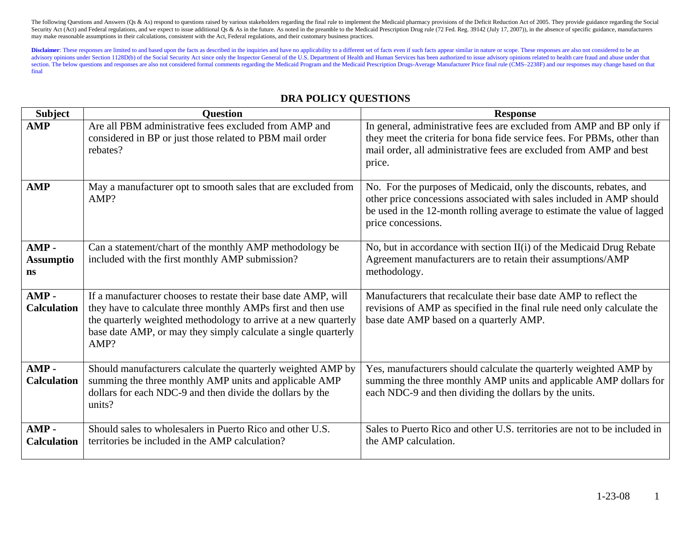Disclaimer: These responses are limited to and based upon the facts as described in the inquiries and have no applicability to a different set of facts even if such facts appear similar in nature or scope. These responses advisory opinions under Section 1128D(b) of the Social Security Act since only the Inspector General of the U.S. Department of Health and Human Services has been authorized to issue advisory opinions related to health care section. The below questions and responses are also not considered formal comments regarding the Medicaid Program and the Medicaid Prescription Drugs-Average Manufacturer Price final rule (CMS-2238F) and our responses may final

## **DRA POLICY QUESTIONS**

| <b>Subject</b>                           | <b>Ouestion</b>                                                                                                                                                                                                                                                             | <b>Response</b>                                                                                                                                                                                                                             |
|------------------------------------------|-----------------------------------------------------------------------------------------------------------------------------------------------------------------------------------------------------------------------------------------------------------------------------|---------------------------------------------------------------------------------------------------------------------------------------------------------------------------------------------------------------------------------------------|
| <b>AMP</b>                               | Are all PBM administrative fees excluded from AMP and<br>considered in BP or just those related to PBM mail order<br>rebates?                                                                                                                                               | In general, administrative fees are excluded from AMP and BP only if<br>they meet the criteria for bona fide service fees. For PBMs, other than<br>mail order, all administrative fees are excluded from AMP and best<br>price.             |
| <b>AMP</b>                               | May a manufacturer opt to smooth sales that are excluded from<br>AMP?                                                                                                                                                                                                       | No. For the purposes of Medicaid, only the discounts, rebates, and<br>other price concessions associated with sales included in AMP should<br>be used in the 12-month rolling average to estimate the value of lagged<br>price concessions. |
| $AMP -$<br><b>Assumptio</b><br><b>ns</b> | Can a statement/chart of the monthly AMP methodology be<br>included with the first monthly AMP submission?                                                                                                                                                                  | No, but in accordance with section II(i) of the Medicaid Drug Rebate<br>Agreement manufacturers are to retain their assumptions/AMP<br>methodology.                                                                                         |
| AMP-<br><b>Calculation</b>               | If a manufacturer chooses to restate their base date AMP, will<br>they have to calculate three monthly AMPs first and then use<br>the quarterly weighted methodology to arrive at a new quarterly<br>base date AMP, or may they simply calculate a single quarterly<br>AMP? | Manufacturers that recalculate their base date AMP to reflect the<br>revisions of AMP as specified in the final rule need only calculate the<br>base date AMP based on a quarterly AMP.                                                     |
| $AMP -$<br><b>Calculation</b>            | Should manufacturers calculate the quarterly weighted AMP by<br>summing the three monthly AMP units and applicable AMP<br>dollars for each NDC-9 and then divide the dollars by the<br>units?                                                                               | Yes, manufacturers should calculate the quarterly weighted AMP by<br>summing the three monthly AMP units and applicable AMP dollars for<br>each NDC-9 and then dividing the dollars by the units.                                           |
| $AMP -$<br><b>Calculation</b>            | Should sales to wholesalers in Puerto Rico and other U.S.<br>territories be included in the AMP calculation?                                                                                                                                                                | Sales to Puerto Rico and other U.S. territories are not to be included in<br>the AMP calculation.                                                                                                                                           |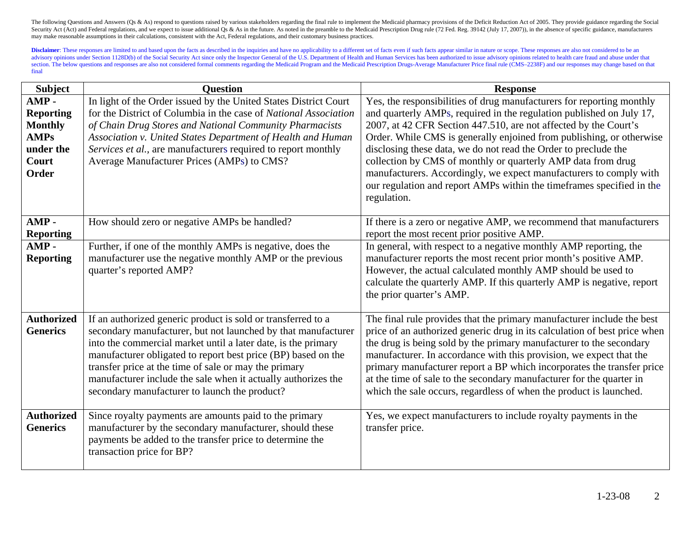| <b>Subject</b>                                                                           | <b>Ouestion</b>                                                                                                                                                                                                                                                                                                                                                                                                                            | <b>Response</b>                                                                                                                                                                                                                                                                                                                                                                                                                                                                                                                                                                            |
|------------------------------------------------------------------------------------------|--------------------------------------------------------------------------------------------------------------------------------------------------------------------------------------------------------------------------------------------------------------------------------------------------------------------------------------------------------------------------------------------------------------------------------------------|--------------------------------------------------------------------------------------------------------------------------------------------------------------------------------------------------------------------------------------------------------------------------------------------------------------------------------------------------------------------------------------------------------------------------------------------------------------------------------------------------------------------------------------------------------------------------------------------|
| AMP-<br><b>Reporting</b><br><b>Monthly</b><br><b>AMPs</b><br>under the<br>Court<br>Order | In light of the Order issued by the United States District Court<br>for the District of Columbia in the case of National Association<br>of Chain Drug Stores and National Community Pharmacists<br>Association v. United States Department of Health and Human<br>Services et al., are manufacturers required to report monthly<br>Average Manufacturer Prices (AMPs) to CMS?                                                              | Yes, the responsibilities of drug manufacturers for reporting monthly<br>and quarterly AMPs, required in the regulation published on July 17,<br>2007, at 42 CFR Section 447.510, are not affected by the Court's<br>Order. While CMS is generally enjoined from publishing, or otherwise<br>disclosing these data, we do not read the Order to preclude the<br>collection by CMS of monthly or quarterly AMP data from drug<br>manufacturers. Accordingly, we expect manufacturers to comply with<br>our regulation and report AMPs within the timeframes specified in the<br>regulation. |
| AMP-<br><b>Reporting</b>                                                                 | How should zero or negative AMPs be handled?                                                                                                                                                                                                                                                                                                                                                                                               | If there is a zero or negative AMP, we recommend that manufacturers<br>report the most recent prior positive AMP.                                                                                                                                                                                                                                                                                                                                                                                                                                                                          |
| AMP-<br><b>Reporting</b>                                                                 | Further, if one of the monthly AMPs is negative, does the<br>manufacturer use the negative monthly AMP or the previous<br>quarter's reported AMP?                                                                                                                                                                                                                                                                                          | In general, with respect to a negative monthly AMP reporting, the<br>manufacturer reports the most recent prior month's positive AMP.<br>However, the actual calculated monthly AMP should be used to<br>calculate the quarterly AMP. If this quarterly AMP is negative, report<br>the prior quarter's AMP.                                                                                                                                                                                                                                                                                |
| <b>Authorized</b><br><b>Generics</b>                                                     | If an authorized generic product is sold or transferred to a<br>secondary manufacturer, but not launched by that manufacturer<br>into the commercial market until a later date, is the primary<br>manufacturer obligated to report best price (BP) based on the<br>transfer price at the time of sale or may the primary<br>manufacturer include the sale when it actually authorizes the<br>secondary manufacturer to launch the product? | The final rule provides that the primary manufacturer include the best<br>price of an authorized generic drug in its calculation of best price when<br>the drug is being sold by the primary manufacturer to the secondary<br>manufacturer. In accordance with this provision, we expect that the<br>primary manufacturer report a BP which incorporates the transfer price<br>at the time of sale to the secondary manufacturer for the quarter in<br>which the sale occurs, regardless of when the product is launched.                                                                  |
| <b>Authorized</b><br><b>Generics</b>                                                     | Since royalty payments are amounts paid to the primary<br>manufacturer by the secondary manufacturer, should these<br>payments be added to the transfer price to determine the<br>transaction price for BP?                                                                                                                                                                                                                                | Yes, we expect manufacturers to include royalty payments in the<br>transfer price.                                                                                                                                                                                                                                                                                                                                                                                                                                                                                                         |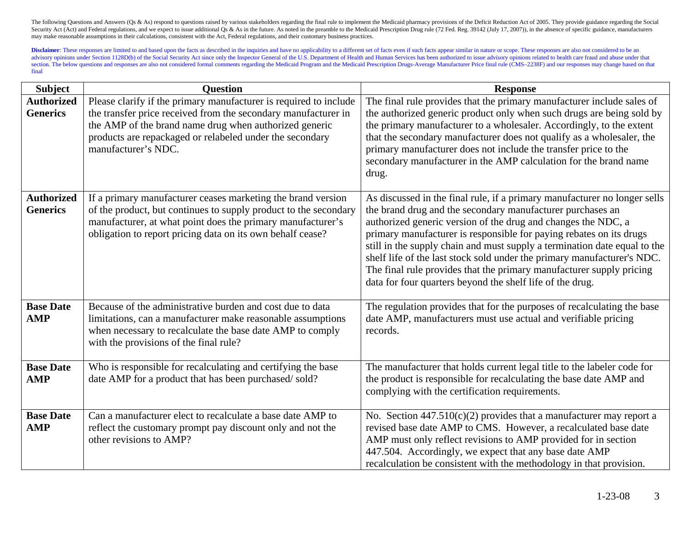| <b>Subject</b>                       | <b>Question</b>                                                                                                                                                                                                                                                                  | <b>Response</b>                                                                                                                                                                                                                                                                                                                                                                                                                                                                                                                                                              |
|--------------------------------------|----------------------------------------------------------------------------------------------------------------------------------------------------------------------------------------------------------------------------------------------------------------------------------|------------------------------------------------------------------------------------------------------------------------------------------------------------------------------------------------------------------------------------------------------------------------------------------------------------------------------------------------------------------------------------------------------------------------------------------------------------------------------------------------------------------------------------------------------------------------------|
| <b>Authorized</b><br><b>Generics</b> | Please clarify if the primary manufacturer is required to include<br>the transfer price received from the secondary manufacturer in<br>the AMP of the brand name drug when authorized generic<br>products are repackaged or relabeled under the secondary<br>manufacturer's NDC. | The final rule provides that the primary manufacturer include sales of<br>the authorized generic product only when such drugs are being sold by<br>the primary manufacturer to a wholesaler. Accordingly, to the extent<br>that the secondary manufacturer does not qualify as a wholesaler, the<br>primary manufacturer does not include the transfer price to the<br>secondary manufacturer in the AMP calculation for the brand name<br>drug.                                                                                                                             |
| <b>Authorized</b><br><b>Generics</b> | If a primary manufacturer ceases marketing the brand version<br>of the product, but continues to supply product to the secondary<br>manufacturer, at what point does the primary manufacturer's<br>obligation to report pricing data on its own behalf cease?                    | As discussed in the final rule, if a primary manufacturer no longer sells<br>the brand drug and the secondary manufacturer purchases an<br>authorized generic version of the drug and changes the NDC, a<br>primary manufacturer is responsible for paying rebates on its drugs<br>still in the supply chain and must supply a termination date equal to the<br>shelf life of the last stock sold under the primary manufacturer's NDC.<br>The final rule provides that the primary manufacturer supply pricing<br>data for four quarters beyond the shelf life of the drug. |
| <b>Base Date</b><br><b>AMP</b>       | Because of the administrative burden and cost due to data<br>limitations, can a manufacturer make reasonable assumptions<br>when necessary to recalculate the base date AMP to comply<br>with the provisions of the final rule?                                                  | The regulation provides that for the purposes of recalculating the base<br>date AMP, manufacturers must use actual and verifiable pricing<br>records.                                                                                                                                                                                                                                                                                                                                                                                                                        |
| <b>Base Date</b><br><b>AMP</b>       | Who is responsible for recalculating and certifying the base<br>date AMP for a product that has been purchased/sold?                                                                                                                                                             | The manufacturer that holds current legal title to the labeler code for<br>the product is responsible for recalculating the base date AMP and<br>complying with the certification requirements.                                                                                                                                                                                                                                                                                                                                                                              |
| <b>Base Date</b><br><b>AMP</b>       | Can a manufacturer elect to recalculate a base date AMP to<br>reflect the customary prompt pay discount only and not the<br>other revisions to AMP?                                                                                                                              | No. Section $447.510(c)(2)$ provides that a manufacturer may report a<br>revised base date AMP to CMS. However, a recalculated base date<br>AMP must only reflect revisions to AMP provided for in section<br>447.504. Accordingly, we expect that any base date AMP<br>recalculation be consistent with the methodology in that provision.                                                                                                                                                                                                                                  |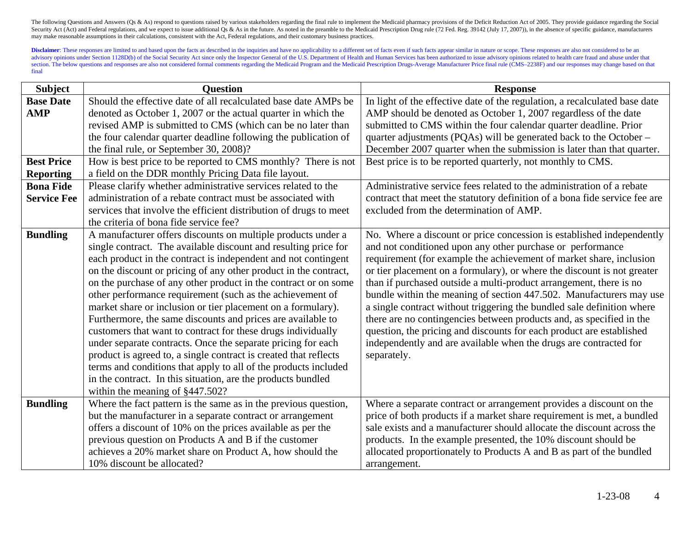| <b>Subject</b>     | <b>Question</b>                                                   | <b>Response</b>                                                            |
|--------------------|-------------------------------------------------------------------|----------------------------------------------------------------------------|
| <b>Base Date</b>   | Should the effective date of all recalculated base date AMPs be   | In light of the effective date of the regulation, a recalculated base date |
| <b>AMP</b>         | denoted as October 1, 2007 or the actual quarter in which the     | AMP should be denoted as October 1, 2007 regardless of the date            |
|                    | revised AMP is submitted to CMS (which can be no later than       | submitted to CMS within the four calendar quarter deadline. Prior          |
|                    | the four calendar quarter deadline following the publication of   | quarter adjustments (PQAs) will be generated back to the October -         |
|                    | the final rule, or September 30, 2008)?                           | December 2007 quarter when the submission is later than that quarter.      |
| <b>Best Price</b>  | How is best price to be reported to CMS monthly? There is not     | Best price is to be reported quarterly, not monthly to CMS.                |
| <b>Reporting</b>   | a field on the DDR monthly Pricing Data file layout.              |                                                                            |
| <b>Bona Fide</b>   | Please clarify whether administrative services related to the     | Administrative service fees related to the administration of a rebate      |
| <b>Service Fee</b> | administration of a rebate contract must be associated with       | contract that meet the statutory definition of a bona fide service fee are |
|                    | services that involve the efficient distribution of drugs to meet | excluded from the determination of AMP.                                    |
|                    | the criteria of bona fide service fee?                            |                                                                            |
| <b>Bundling</b>    | A manufacturer offers discounts on multiple products under a      | No. Where a discount or price concession is established independently      |
|                    | single contract. The available discount and resulting price for   | and not conditioned upon any other purchase or performance                 |
|                    | each product in the contract is independent and not contingent    | requirement (for example the achievement of market share, inclusion        |
|                    | on the discount or pricing of any other product in the contract,  | or tier placement on a formulary), or where the discount is not greater    |
|                    | on the purchase of any other product in the contract or on some   | than if purchased outside a multi-product arrangement, there is no         |
|                    | other performance requirement (such as the achievement of         | bundle within the meaning of section 447.502. Manufacturers may use        |
|                    | market share or inclusion or tier placement on a formulary).      | a single contract without triggering the bundled sale definition where     |
|                    | Furthermore, the same discounts and prices are available to       | there are no contingencies between products and, as specified in the       |
|                    | customers that want to contract for these drugs individually      | question, the pricing and discounts for each product are established       |
|                    | under separate contracts. Once the separate pricing for each      | independently and are available when the drugs are contracted for          |
|                    | product is agreed to, a single contract is created that reflects  | separately.                                                                |
|                    | terms and conditions that apply to all of the products included   |                                                                            |
|                    | in the contract. In this situation, are the products bundled      |                                                                            |
|                    | within the meaning of §447.502?                                   |                                                                            |
| <b>Bundling</b>    | Where the fact pattern is the same as in the previous question,   | Where a separate contract or arrangement provides a discount on the        |
|                    | but the manufacturer in a separate contract or arrangement        | price of both products if a market share requirement is met, a bundled     |
|                    | offers a discount of 10% on the prices available as per the       | sale exists and a manufacturer should allocate the discount across the     |
|                    | previous question on Products A and B if the customer             | products. In the example presented, the 10% discount should be             |
|                    | achieves a 20% market share on Product A, how should the          | allocated proportionately to Products A and B as part of the bundled       |
|                    | 10% discount be allocated?                                        | arrangement.                                                               |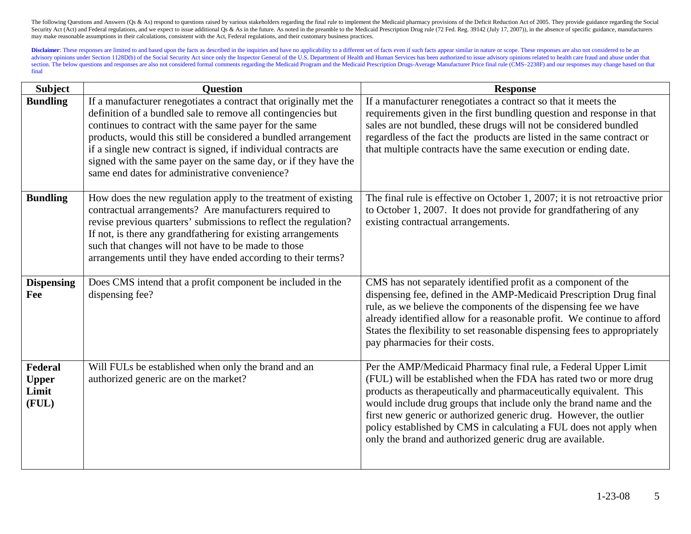| <b>Subject</b>                                   | <b>Question</b>                                                                                                                                                                                                                                                                                                                                                                                                                                       | <b>Response</b>                                                                                                                                                                                                                                                                                                                                                                                                                                                                          |
|--------------------------------------------------|-------------------------------------------------------------------------------------------------------------------------------------------------------------------------------------------------------------------------------------------------------------------------------------------------------------------------------------------------------------------------------------------------------------------------------------------------------|------------------------------------------------------------------------------------------------------------------------------------------------------------------------------------------------------------------------------------------------------------------------------------------------------------------------------------------------------------------------------------------------------------------------------------------------------------------------------------------|
| <b>Bundling</b>                                  | If a manufacturer renegotiates a contract that originally met the<br>definition of a bundled sale to remove all contingencies but<br>continues to contract with the same payer for the same<br>products, would this still be considered a bundled arrangement<br>if a single new contract is signed, if individual contracts are<br>signed with the same payer on the same day, or if they have the<br>same end dates for administrative convenience? | If a manufacturer renegotiates a contract so that it meets the<br>requirements given in the first bundling question and response in that<br>sales are not bundled, these drugs will not be considered bundled<br>regardless of the fact the products are listed in the same contract or<br>that multiple contracts have the same execution or ending date.                                                                                                                               |
| <b>Bundling</b>                                  | How does the new regulation apply to the treatment of existing<br>contractual arrangements? Are manufacturers required to<br>revise previous quarters' submissions to reflect the regulation?<br>If not, is there any grandfathering for existing arrangements<br>such that changes will not have to be made to those<br>arrangements until they have ended according to their terms?                                                                 | The final rule is effective on October 1, 2007; it is not retroactive prior<br>to October 1, 2007. It does not provide for grandfathering of any<br>existing contractual arrangements.                                                                                                                                                                                                                                                                                                   |
| <b>Dispensing</b><br>Fee                         | Does CMS intend that a profit component be included in the<br>dispensing fee?                                                                                                                                                                                                                                                                                                                                                                         | CMS has not separately identified profit as a component of the<br>dispensing fee, defined in the AMP-Medicaid Prescription Drug final<br>rule, as we believe the components of the dispensing fee we have<br>already identified allow for a reasonable profit. We continue to afford<br>States the flexibility to set reasonable dispensing fees to appropriately<br>pay pharmacies for their costs.                                                                                     |
| <b>Federal</b><br><b>Upper</b><br>Limit<br>(FUL) | Will FULs be established when only the brand and an<br>authorized generic are on the market?                                                                                                                                                                                                                                                                                                                                                          | Per the AMP/Medicaid Pharmacy final rule, a Federal Upper Limit<br>(FUL) will be established when the FDA has rated two or more drug<br>products as therapeutically and pharmaceutically equivalent. This<br>would include drug groups that include only the brand name and the<br>first new generic or authorized generic drug. However, the outlier<br>policy established by CMS in calculating a FUL does not apply when<br>only the brand and authorized generic drug are available. |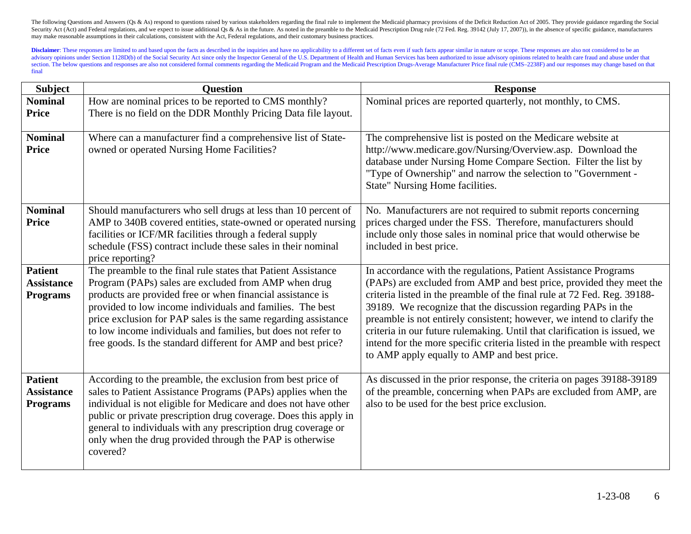| <b>Subject</b>                                         | <b>Ouestion</b>                                                                                                                                                                                                                                                                                                                                                                                                                                      | <b>Response</b>                                                                                                                                                                                                                                                                                                                                                                                                                                                                                                                                                        |
|--------------------------------------------------------|------------------------------------------------------------------------------------------------------------------------------------------------------------------------------------------------------------------------------------------------------------------------------------------------------------------------------------------------------------------------------------------------------------------------------------------------------|------------------------------------------------------------------------------------------------------------------------------------------------------------------------------------------------------------------------------------------------------------------------------------------------------------------------------------------------------------------------------------------------------------------------------------------------------------------------------------------------------------------------------------------------------------------------|
| <b>Nominal</b>                                         | How are nominal prices to be reported to CMS monthly?                                                                                                                                                                                                                                                                                                                                                                                                | Nominal prices are reported quarterly, not monthly, to CMS.                                                                                                                                                                                                                                                                                                                                                                                                                                                                                                            |
| <b>Price</b>                                           | There is no field on the DDR Monthly Pricing Data file layout.                                                                                                                                                                                                                                                                                                                                                                                       |                                                                                                                                                                                                                                                                                                                                                                                                                                                                                                                                                                        |
| <b>Nominal</b><br><b>Price</b>                         | Where can a manufacturer find a comprehensive list of State-<br>owned or operated Nursing Home Facilities?                                                                                                                                                                                                                                                                                                                                           | The comprehensive list is posted on the Medicare website at<br>http://www.medicare.gov/Nursing/Overview.asp. Download the<br>database under Nursing Home Compare Section. Filter the list by<br>"Type of Ownership" and narrow the selection to "Government -<br>State" Nursing Home facilities.                                                                                                                                                                                                                                                                       |
| <b>Nominal</b><br><b>Price</b>                         | Should manufacturers who sell drugs at less than 10 percent of<br>AMP to 340B covered entities, state-owned or operated nursing<br>facilities or ICF/MR facilities through a federal supply<br>schedule (FSS) contract include these sales in their nominal<br>price reporting?                                                                                                                                                                      | No. Manufacturers are not required to submit reports concerning<br>prices charged under the FSS. Therefore, manufacturers should<br>include only those sales in nominal price that would otherwise be<br>included in best price.                                                                                                                                                                                                                                                                                                                                       |
| <b>Patient</b><br><b>Assistance</b><br><b>Programs</b> | The preamble to the final rule states that Patient Assistance<br>Program (PAPs) sales are excluded from AMP when drug<br>products are provided free or when financial assistance is<br>provided to low income individuals and families. The best<br>price exclusion for PAP sales is the same regarding assistance<br>to low income individuals and families, but does not refer to<br>free goods. Is the standard different for AMP and best price? | In accordance with the regulations, Patient Assistance Programs<br>(PAPs) are excluded from AMP and best price, provided they meet the<br>criteria listed in the preamble of the final rule at 72 Fed. Reg. 39188-<br>39189. We recognize that the discussion regarding PAPs in the<br>preamble is not entirely consistent; however, we intend to clarify the<br>criteria in our future rulemaking. Until that clarification is issued, we<br>intend for the more specific criteria listed in the preamble with respect<br>to AMP apply equally to AMP and best price. |
| <b>Patient</b><br><b>Assistance</b><br><b>Programs</b> | According to the preamble, the exclusion from best price of<br>sales to Patient Assistance Programs (PAPs) applies when the<br>individual is not eligible for Medicare and does not have other<br>public or private prescription drug coverage. Does this apply in<br>general to individuals with any prescription drug coverage or<br>only when the drug provided through the PAP is otherwise<br>covered?                                          | As discussed in the prior response, the criteria on pages 39188-39189<br>of the preamble, concerning when PAPs are excluded from AMP, are<br>also to be used for the best price exclusion.                                                                                                                                                                                                                                                                                                                                                                             |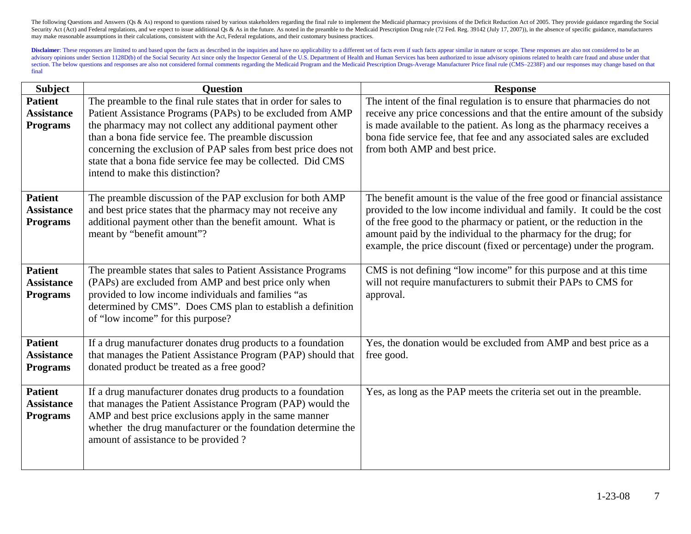| <b>Subject</b>                                         | <b>Question</b>                                                                                                                                                                                                                                                                                                                                                                                                            | <b>Response</b>                                                                                                                                                                                                                                                                                                                                                       |
|--------------------------------------------------------|----------------------------------------------------------------------------------------------------------------------------------------------------------------------------------------------------------------------------------------------------------------------------------------------------------------------------------------------------------------------------------------------------------------------------|-----------------------------------------------------------------------------------------------------------------------------------------------------------------------------------------------------------------------------------------------------------------------------------------------------------------------------------------------------------------------|
| <b>Patient</b><br><b>Assistance</b><br><b>Programs</b> | The preamble to the final rule states that in order for sales to<br>Patient Assistance Programs (PAPs) to be excluded from AMP<br>the pharmacy may not collect any additional payment other<br>than a bona fide service fee. The preamble discussion<br>concerning the exclusion of PAP sales from best price does not<br>state that a bona fide service fee may be collected. Did CMS<br>intend to make this distinction? | The intent of the final regulation is to ensure that pharmacies do not<br>receive any price concessions and that the entire amount of the subsidy<br>is made available to the patient. As long as the pharmacy receives a<br>bona fide service fee, that fee and any associated sales are excluded<br>from both AMP and best price.                                   |
| <b>Patient</b><br><b>Assistance</b><br><b>Programs</b> | The preamble discussion of the PAP exclusion for both AMP<br>and best price states that the pharmacy may not receive any<br>additional payment other than the benefit amount. What is<br>meant by "benefit amount"?                                                                                                                                                                                                        | The benefit amount is the value of the free good or financial assistance<br>provided to the low income individual and family. It could be the cost<br>of the free good to the pharmacy or patient, or the reduction in the<br>amount paid by the individual to the pharmacy for the drug; for<br>example, the price discount (fixed or percentage) under the program. |
| <b>Patient</b><br><b>Assistance</b><br><b>Programs</b> | The preamble states that sales to Patient Assistance Programs<br>(PAPs) are excluded from AMP and best price only when<br>provided to low income individuals and families "as<br>determined by CMS". Does CMS plan to establish a definition<br>of "low income" for this purpose?                                                                                                                                          | CMS is not defining "low income" for this purpose and at this time<br>will not require manufacturers to submit their PAPs to CMS for<br>approval.                                                                                                                                                                                                                     |
| <b>Patient</b><br><b>Assistance</b><br><b>Programs</b> | If a drug manufacturer donates drug products to a foundation<br>that manages the Patient Assistance Program (PAP) should that<br>donated product be treated as a free good?                                                                                                                                                                                                                                                | Yes, the donation would be excluded from AMP and best price as a<br>free good.                                                                                                                                                                                                                                                                                        |
| <b>Patient</b><br><b>Assistance</b><br><b>Programs</b> | If a drug manufacturer donates drug products to a foundation<br>that manages the Patient Assistance Program (PAP) would the<br>AMP and best price exclusions apply in the same manner<br>whether the drug manufacturer or the foundation determine the<br>amount of assistance to be provided?                                                                                                                             | Yes, as long as the PAP meets the criteria set out in the preamble.                                                                                                                                                                                                                                                                                                   |